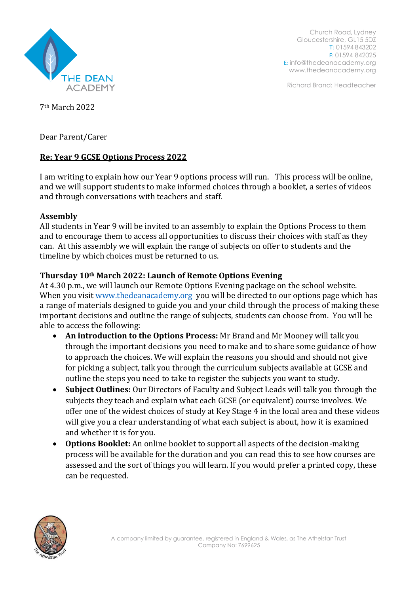

Church Road, Lydney Gloucestershire, GL15 5DZ T: 01594 843202 F: 01594 842025 E: [info@thedeanacademy.org](mailto:info@thedeanacademy.org) [www.thedeanacademy.org](http://www.thedeanacademy.org/)

Richard Brand: Headteacher

7th March 2022

Dear Parent/Carer

# **Re: Year 9 GCSE Options Process 2022**

I am writing to explain how our Year 9 options process will run. This process will be online, and we will support students to make informed choices through a booklet, a series of videos and through conversations with teachers and staff.

# **Assembly**

All students in Year 9 will be invited to an assembly to explain the Options Process to them and to encourage them to access all opportunities to discuss their choices with staff as they can. At this assembly we will explain the range of subjects on offer to students and the timeline by which choices must be returned to us.

# **Thursday 10th March 2022: Launch of Remote Options Evening**

At 4.30 p.m., we will launch our Remote Options Evening package on the school website. When you visit [www.thedeanacademy.org](http://www.thedeanacademy.org/) you will be directed to our options page which has a range of materials designed to guide you and your child through the process of making these important decisions and outline the range of subjects, students can choose from. You will be able to access the following:

- **An introduction to the Options Process:** Mr Brand and Mr Mooney will talk you through the important decisions you need to make and to share some guidance of how to approach the choices. We will explain the reasons you should and should not give for picking a subject, talk you through the curriculum subjects available at GCSE and outline the steps you need to take to register the subjects you want to study.
- **Subject Outlines:** Our Directors of Faculty and Subject Leads will talk you through the subjects they teach and explain what each GCSE (or equivalent) course involves. We offer one of the widest choices of study at Key Stage 4 in the local area and these videos will give you a clear understanding of what each subject is about, how it is examined and whether it is for you.
- **Options Booklet:** An online booklet to support all aspects of the decision-making process will be available for the duration and you can read this to see how courses are assessed and the sort of things you will learn. If you would prefer a printed copy, these can be requested.